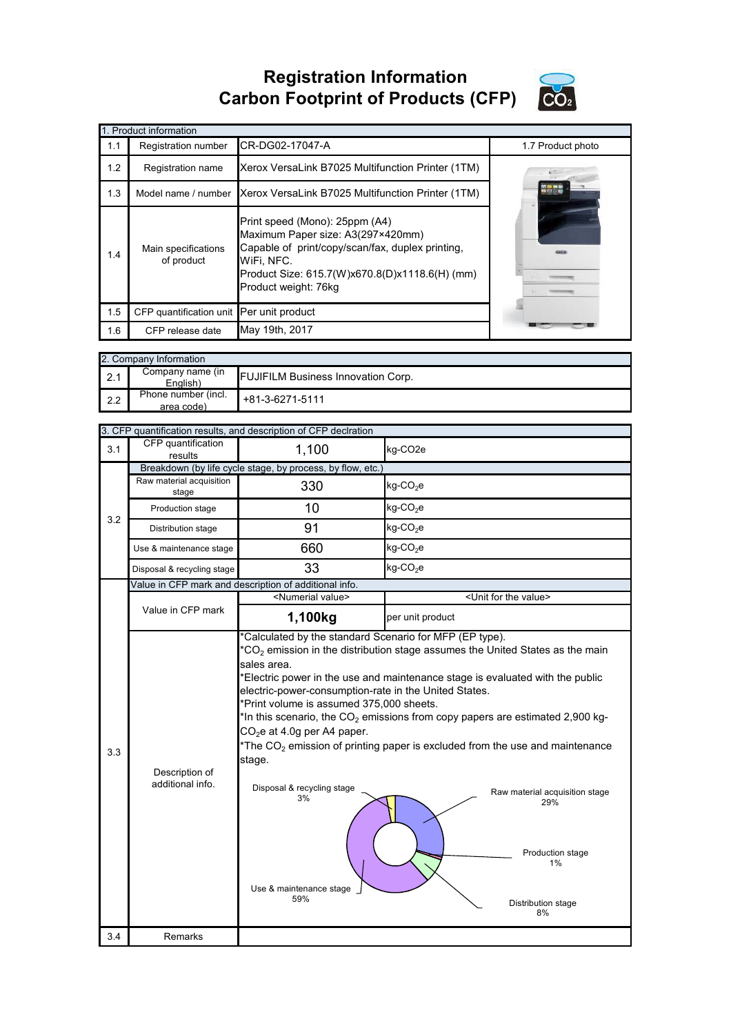**Registration Information Carbon Footprint of Products (CFP)**



|     | 1. Product information                   |                                                                                                                                                                                                                 |                   |  |  |  |
|-----|------------------------------------------|-----------------------------------------------------------------------------------------------------------------------------------------------------------------------------------------------------------------|-------------------|--|--|--|
| 1.1 | Registration number                      | CR-DG02-17047-A                                                                                                                                                                                                 | 1.7 Product photo |  |  |  |
| 1.2 | Registration name                        | Xerox VersaLink B7025 Multifunction Printer (1TM)                                                                                                                                                               |                   |  |  |  |
| 1.3 |                                          | Model name / number Xerox VersaLink B7025 Multifunction Printer (1TM)                                                                                                                                           |                   |  |  |  |
| 1.4 | Main specifications<br>of product        | Print speed (Mono): 25ppm (A4)<br>Maximum Paper size: A3(297×420mm)<br>Capable of print/copy/scan/fax, duplex printing,<br>WiFi, NFC.<br>Product Size: 615.7(W)x670.8(D)x1118.6(H) (mm)<br>Product weight: 76kg |                   |  |  |  |
| 1.5 | CFP quantification unit Per unit product |                                                                                                                                                                                                                 |                   |  |  |  |
| 1.6 | CFP release date                         | May 19th, 2017                                                                                                                                                                                                  |                   |  |  |  |

|     | 2. Company Information            |                                           |  |  |  |
|-----|-----------------------------------|-------------------------------------------|--|--|--|
| 2.1 | Company name (in<br>English)      | <b>FUJIFILM Business Innovation Corp.</b> |  |  |  |
| 2.2 | Phone number (incl.<br>area code) | $+81-3-6271-5111$                         |  |  |  |

|     | 3. CFP quantification results, and description of CFP declration |                                                                                                                                                                                                                                                                                             |                                                                                                                                                                                                                                                                                                                                                                                                                                                   |  |
|-----|------------------------------------------------------------------|---------------------------------------------------------------------------------------------------------------------------------------------------------------------------------------------------------------------------------------------------------------------------------------------|---------------------------------------------------------------------------------------------------------------------------------------------------------------------------------------------------------------------------------------------------------------------------------------------------------------------------------------------------------------------------------------------------------------------------------------------------|--|
| 3.1 | CFP quantification<br>results                                    | 1,100                                                                                                                                                                                                                                                                                       | kg-CO2e                                                                                                                                                                                                                                                                                                                                                                                                                                           |  |
|     |                                                                  | Breakdown (by life cycle stage, by process, by flow, etc.)                                                                                                                                                                                                                                  |                                                                                                                                                                                                                                                                                                                                                                                                                                                   |  |
|     | Raw material acquisition<br>stage                                | 330                                                                                                                                                                                                                                                                                         | $kg$ -CO <sub>2</sub> e                                                                                                                                                                                                                                                                                                                                                                                                                           |  |
| 3.2 | Production stage                                                 | 10                                                                                                                                                                                                                                                                                          | $kg$ -CO <sub>2</sub> e                                                                                                                                                                                                                                                                                                                                                                                                                           |  |
|     | Distribution stage                                               | 91                                                                                                                                                                                                                                                                                          | $kg$ -CO <sub>2</sub> e                                                                                                                                                                                                                                                                                                                                                                                                                           |  |
|     | Use & maintenance stage                                          | 660                                                                                                                                                                                                                                                                                         | $kg$ -CO <sub>2</sub> e                                                                                                                                                                                                                                                                                                                                                                                                                           |  |
|     | Disposal & recycling stage                                       | 33                                                                                                                                                                                                                                                                                          | $kg$ -CO <sub>2</sub> e                                                                                                                                                                                                                                                                                                                                                                                                                           |  |
|     |                                                                  | Value in CFP mark and description of additional info.                                                                                                                                                                                                                                       |                                                                                                                                                                                                                                                                                                                                                                                                                                                   |  |
|     |                                                                  | <numerial value=""></numerial>                                                                                                                                                                                                                                                              | <unit for="" the="" value=""></unit>                                                                                                                                                                                                                                                                                                                                                                                                              |  |
|     | Value in CFP mark                                                | 1,100kg                                                                                                                                                                                                                                                                                     | per unit product                                                                                                                                                                                                                                                                                                                                                                                                                                  |  |
| 3.3 | Description of<br>additional info.                               | *Calculated by the standard Scenario for MFP (EP type).<br>sales area.<br>electric-power-consumption-rate in the United States.<br>*Print volume is assumed 375,000 sheets.<br>$CO2e$ at 4.0g per A4 paper.<br>stage.<br>Disposal & recycling stage<br>3%<br>Use & maintenance stage<br>59% | $*$ CO <sub>2</sub> emission in the distribution stage assumes the United States as the main<br>*Electric power in the use and maintenance stage is evaluated with the public<br>*In this scenario, the $CO2$ emissions from copy papers are estimated 2,900 kg-<br>*The $CO2$ emission of printing paper is excluded from the use and maintenance<br>Raw material acquisition stage<br>29%<br>Production stage<br>1%<br>Distribution stage<br>8% |  |
| 3.4 | Remarks                                                          |                                                                                                                                                                                                                                                                                             |                                                                                                                                                                                                                                                                                                                                                                                                                                                   |  |